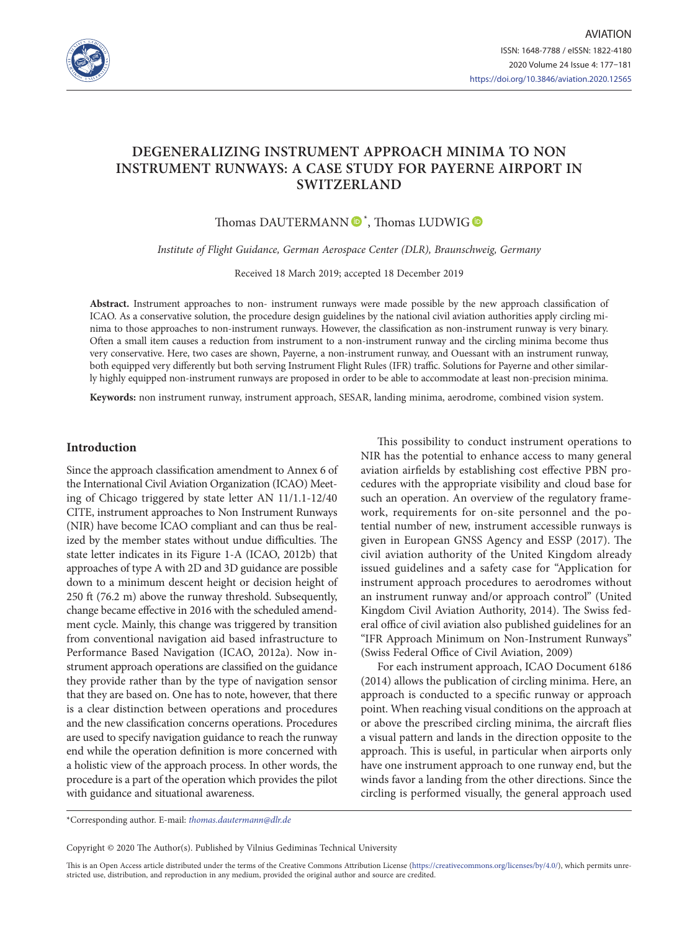

# **DEGENERALIZING INSTRUMENT APPROACH MINIMA TO NON INSTRUMENT RUNWAYS: A CASE STUDY FOR PAYERNE AIRPORT IN SWITZERLAND**

Thomas DAUTERMANN  $\bullet$ <sup>[\\*](https://orcid.org/0000-0001-9469-5613)</sup>, Thomas LUDWIG

*Institute of Flight Guidance, German Aerospace Center (DLR), Braunschweig, Germany*

Received 18 March 2019; accepted 18 December 2019

**Abstract.** Instrument approaches to non- instrument runways were made possible by the new approach classification of ICAO. As a conservative solution, the procedure design guidelines by the national civil aviation authorities apply circling minima to those approaches to non-instrument runways. However, the classification as non-instrument runway is very binary. Often a small item causes a reduction from instrument to a non-instrument runway and the circling minima become thus very conservative. Here, two cases are shown, Payerne, a non-instrument runway, and Ouessant with an instrument runway, both equipped very differently but both serving Instrument Flight Rules (IFR) traffic. Solutions for Payerne and other similarly highly equipped non-instrument runways are proposed in order to be able to accommodate at least non-precision minima.

**Keywords:** non instrument runway, instrument approach, SESAR, landing minima, aerodrome, combined vision system.

# **Introduction**

Since the approach classification amendment to Annex 6 of the International Civil Aviation Organization (ICAO) Meeting of Chicago triggered by state letter AN 11/1.1-12/40 CITE, instrument approaches to Non Instrument Runways (NIR) have become ICAO compliant and can thus be realized by the member states without undue difficulties. The state letter indicates in its Figure 1-A (ICAO, 2012b) that approaches of type A with 2D and 3D guidance are possible down to a minimum descent height or decision height of 250 ft (76.2 m) above the runway threshold. Subsequently, change became effective in 2016 with the scheduled amendment cycle. Mainly, this change was triggered by transition from conventional navigation aid based infrastructure to Performance Based Navigation (ICAO, 2012a). Now instrument approach operations are classified on the guidance they provide rather than by the type of navigation sensor that they are based on. One has to note, however, that there is a clear distinction between operations and procedures and the new classification concerns operations. Procedures are used to specify navigation guidance to reach the runway end while the operation definition is more concerned with a holistic view of the approach process. In other words, the procedure is a part of the operation which provides the pilot with guidance and situational awareness.

This possibility to conduct instrument operations to NIR has the potential to enhance access to many general aviation airfields by establishing cost effective PBN procedures with the appropriate visibility and cloud base for such an operation. An overview of the regulatory framework, requirements for on-site personnel and the potential number of new, instrument accessible runways is given in European GNSS Agency and ESSP (2017). The civil aviation authority of the United Kingdom already issued guidelines and a safety case for "Application for instrument approach procedures to aerodromes without an instrument runway and/or approach control" (United Kingdom Civil Aviation Authority, 2014). The Swiss federal office of civil aviation also published guidelines for an "IFR Approach Minimum on Non-Instrument Runways" (Swiss Federal Office of Civil Aviation, 2009)

For each instrument approach, ICAO Document 6186 (2014) allows the publication of circling minima. Here, an approach is conducted to a specific runway or approach point. When reaching visual conditions on the approach at or above the prescribed circling minima, the aircraft flies a visual pattern and lands in the direction opposite to the approach. This is useful, in particular when airports only have one instrument approach to one runway end, but the winds favor a landing from the other directions. Since the circling is performed visually, the general approach used

\*Corresponding author. E-mail: *thomas.dautermann@dlr.de*

Copyright © 2020 The Author(s). Published by Vilnius Gediminas Technical University

This is an Open Access article distributed under the terms of the Creative Commons Attribution License [\(https://creativecommons.org/licenses/by/4.0/\)](http://creativecommons.org/licenses/by/4.0/), which permits unrestricted use, distribution, and reproduction in any medium, provided the original author and source are credited.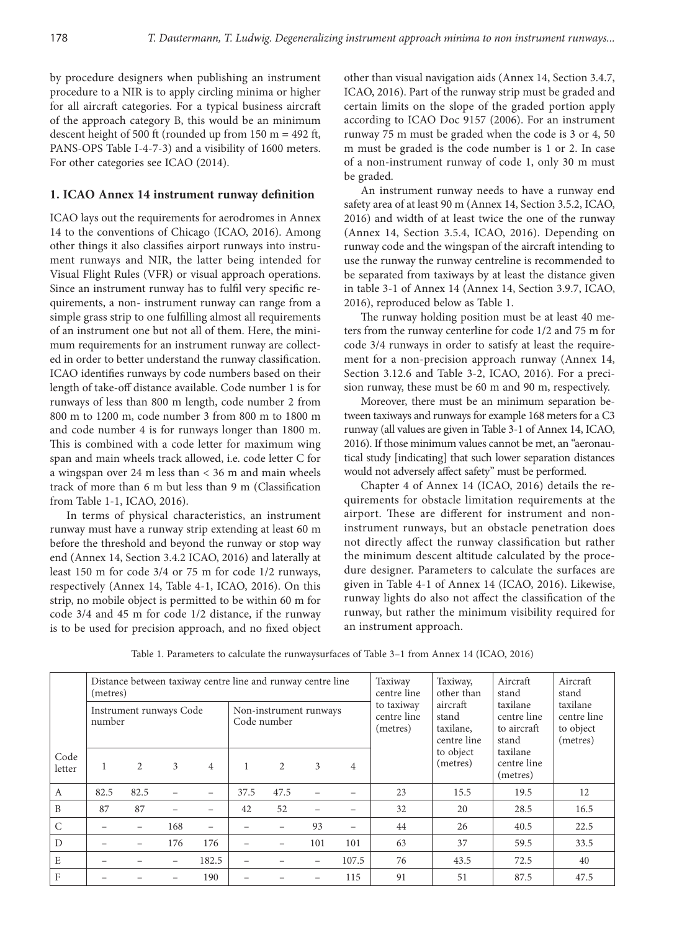by procedure designers when publishing an instrument procedure to a NIR is to apply circling minima or higher for all aircraft categories. For a typical business aircraft of the approach category B, this would be an minimum descent height of 500 ft (rounded up from 150 m = 492 ft, PANS-OPS Table I-4-7-3) and a visibility of 1600 meters. For other categories see ICAO (2014).

# **1. ICAO Annex 14 instrument runway definition**

ICAO lays out the requirements for aerodromes in Annex 14 to the conventions of Chicago (ICAO, 2016). Among other things it also classifies airport runways into instrument runways and NIR, the latter being intended for Visual Flight Rules (VFR) or visual approach operations. Since an instrument runway has to fulfil very specific requirements, a non- instrument runway can range from a simple grass strip to one fulfilling almost all requirements of an instrument one but not all of them. Here, the minimum requirements for an instrument runway are collected in order to better understand the runway classification. ICAO identifies runways by code numbers based on their length of take-off distance available. Code number 1 is for runways of less than 800 m length, code number 2 from 800 m to 1200 m, code number 3 from 800 m to 1800 m and code number 4 is for runways longer than 1800 m. This is combined with a code letter for maximum wing span and main wheels track allowed, i.e. code letter C for a wingspan over 24 m less than < 36 m and main wheels track of more than 6 m but less than 9 m (Classification from Table 1-1, ICAO, 2016).

In terms of physical characteristics, an instrument runway must have a runway strip extending at least 60 m before the threshold and beyond the runway or stop way end (Annex 14, Section 3.4.2 ICAO, 2016) and laterally at least 150 m for code 3/4 or 75 m for code 1/2 runways, respectively (Annex 14, Table 4-1, ICAO, 2016). On this strip, no mobile object is permitted to be within 60 m for code 3/4 and 45 m for code 1/2 distance, if the runway is to be used for precision approach, and no fixed object other than visual navigation aids (Annex 14, Section 3.4.7, ICAO, 2016). Part of the runway strip must be graded and certain limits on the slope of the graded portion apply according to ICAO Doc 9157 (2006). For an instrument runway 75 m must be graded when the code is 3 or 4, 50 m must be graded is the code number is 1 or 2. In case of a non-instrument runway of code 1, only 30 m must be graded.

An instrument runway needs to have a runway end safety area of at least 90 m (Annex 14, Section 3.5.2, ICAO, 2016) and width of at least twice the one of the runway (Annex 14, Section 3.5.4, ICAO, 2016). Depending on runway code and the wingspan of the aircraft intending to use the runway the runway centreline is recommended to be separated from taxiways by at least the distance given in table 3-1 of Annex 14 (Annex 14, Section 3.9.7, ICAO, 2016), reproduced below as Table 1.

The runway holding position must be at least 40 meters from the runway centerline for code 1/2 and 75 m for code 3/4 runways in order to satisfy at least the requirement for a non-precision approach runway (Annex 14, Section 3.12.6 and Table 3-2, ICAO, 2016). For a precision runway, these must be 60 m and 90 m, respectively.

Moreover, there must be an minimum separation between taxiways and runways for example 168 meters for a C3 runway (all values are given in Table 3-1 of Annex 14, ICAO, 2016). If those minimum values cannot be met, an "aeronautical study [indicating] that such lower separation distances would not adversely affect safety" must be performed.

Chapter 4 of Annex 14 (ICAO, 2016) details the requirements for obstacle limitation requirements at the airport. These are different for instrument and noninstrument runways, but an obstacle penetration does not directly affect the runway classification but rather the minimum descent altitude calculated by the procedure designer. Parameters to calculate the surfaces are given in Table 4-1 of Annex 14 (ICAO, 2016). Likewise, runway lights do also not affect the classification of the runway, but rather the minimum visibility required for an instrument approach.

|                | Distance between taxiway centre line and runway centre line<br>(metres) |      |                   |                |                                       |      |     |       | Taxiway<br>centre line                | Taxiway,<br>other than                        | Aircraft<br>stand                               | Aircraft<br>stand                                |
|----------------|-------------------------------------------------------------------------|------|-------------------|----------------|---------------------------------------|------|-----|-------|---------------------------------------|-----------------------------------------------|-------------------------------------------------|--------------------------------------------------|
|                | Instrument runways Code<br>number                                       |      |                   |                | Non-instrument runways<br>Code number |      |     |       | to taxiway<br>centre line<br>(metres) | aircraft<br>stand<br>taxilane,<br>centre line | taxilane<br>centre line<br>to aircraft<br>stand | taxilane<br>centre line<br>to object<br>(metres) |
| Code<br>letter |                                                                         | 2    | 3                 | $\overline{4}$ |                                       | 2    | 3   | 4     |                                       | to object<br>(metres)                         | taxilane<br>centre line<br>(metres)             |                                                  |
| A              | 82.5                                                                    | 82.5 |                   |                | 37.5                                  | 47.5 |     |       | 23                                    | 15.5                                          | 19.5                                            | 12                                               |
| B              | 87                                                                      | 87   |                   |                | 42                                    | 52   |     |       | 32                                    | 20                                            | 28.5                                            | 16.5                                             |
| $\mathcal{C}$  |                                                                         |      | 168               |                |                                       |      | 93  |       | 44                                    | 26                                            | 40.5                                            | 22.5                                             |
| D              |                                                                         |      | 176               | 176            |                                       |      | 101 | 101   | 63                                    | 37                                            | 59.5                                            | 33.5                                             |
| E              |                                                                         |      | $\qquad \qquad -$ | 182.5          |                                       |      |     | 107.5 | 76                                    | 43.5                                          | 72.5                                            | 40                                               |
| $\rm F$        |                                                                         |      |                   | 190            |                                       |      |     | 115   | 91                                    | 51                                            | 87.5                                            | 47.5                                             |

Table 1. Parameters to calculate the runwaysurfaces of Table 3–1 from Annex 14 (ICAO, 2016)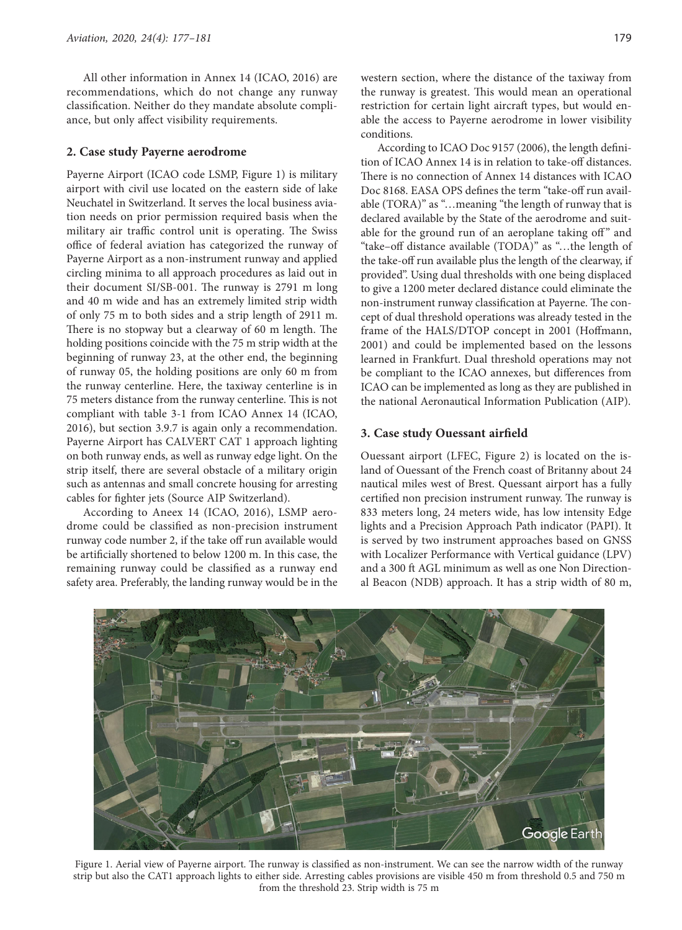All other information in Annex 14 (ICAO, 2016) are recommendations, which do not change any runway classification. Neither do they mandate absolute compliance, but only affect visibility requirements.

# **2. Case study Payerne aerodrome**

Payerne Airport (ICAO code LSMP, Figure 1) is military airport with civil use located on the eastern side of lake Neuchatel in Switzerland. It serves the local business aviation needs on prior permission required basis when the military air traffic control unit is operating. The Swiss office of federal aviation has categorized the runway of Payerne Airport as a non-instrument runway and applied circling minima to all approach procedures as laid out in their document SI/SB-001. The runway is 2791 m long and 40 m wide and has an extremely limited strip width of only 75 m to both sides and a strip length of 2911 m. There is no stopway but a clearway of 60 m length. The holding positions coincide with the 75 m strip width at the beginning of runway 23, at the other end, the beginning of runway 05, the holding positions are only 60 m from the runway centerline. Here, the taxiway centerline is in 75 meters distance from the runway centerline. This is not compliant with table 3-1 from ICAO Annex 14 (ICAO, 2016), but section 3.9.7 is again only a recommendation. Payerne Airport has CALVERT CAT 1 approach lighting on both runway ends, as well as runway edge light. On the strip itself, there are several obstacle of a military origin such as antennas and small concrete housing for arresting cables for fighter jets (Source AIP Switzerland).

According to Aneex 14 (ICAO, 2016), LSMP aerodrome could be classified as non-precision instrument runway code number 2, if the take off run available would be artificially shortened to below 1200 m. In this case, the remaining runway could be classified as a runway end safety area. Preferably, the landing runway would be in the western section, where the distance of the taxiway from the runway is greatest. This would mean an operational restriction for certain light aircraft types, but would enable the access to Payerne aerodrome in lower visibility conditions.

According to ICAO Doc 9157 (2006), the length definition of ICAO Annex 14 is in relation to take-off distances. There is no connection of Annex 14 distances with ICAO Doc 8168. EASA OPS defines the term "take-off run available (TORA)" as "…meaning "the length of runway that is declared available by the State of the aerodrome and suitable for the ground run of an aeroplane taking off" and "take–off distance available (TODA)" as "…the length of the take-off run available plus the length of the clearway, if provided". Using dual thresholds with one being displaced to give a 1200 meter declared distance could eliminate the non-instrument runway classification at Payerne. The concept of dual threshold operations was already tested in the frame of the HALS/DTOP concept in 2001 (Hoffmann, 2001) and could be implemented based on the lessons learned in Frankfurt. Dual threshold operations may not be compliant to the ICAO annexes, but differences from ICAO can be implemented as long as they are published in the national Aeronautical Information Publication (AIP).

### **3. Case study Ouessant airfield**

Ouessant airport (LFEC, Figure 2) is located on the island of Ouessant of the French coast of Britanny about 24 nautical miles west of Brest. Quessant airport has a fully certified non precision instrument runway. The runway is 833 meters long, 24 meters wide, has low intensity Edge lights and a Precision Approach Path indicator (PAPI). It is served by two instrument approaches based on GNSS with Localizer Performance with Vertical guidance (LPV) and a 300 ft AGL minimum as well as one Non Directional Beacon (NDB) approach. It has a strip width of 80 m,



Figure 1. Aerial view of Payerne airport. The runway is classified as non-instrument. We can see the narrow width of the runway strip but also the CAT1 approach lights to either side. Arresting cables provisions are visible 450 m from threshold 0.5 and 750 m from the threshold 23. Strip width is 75 m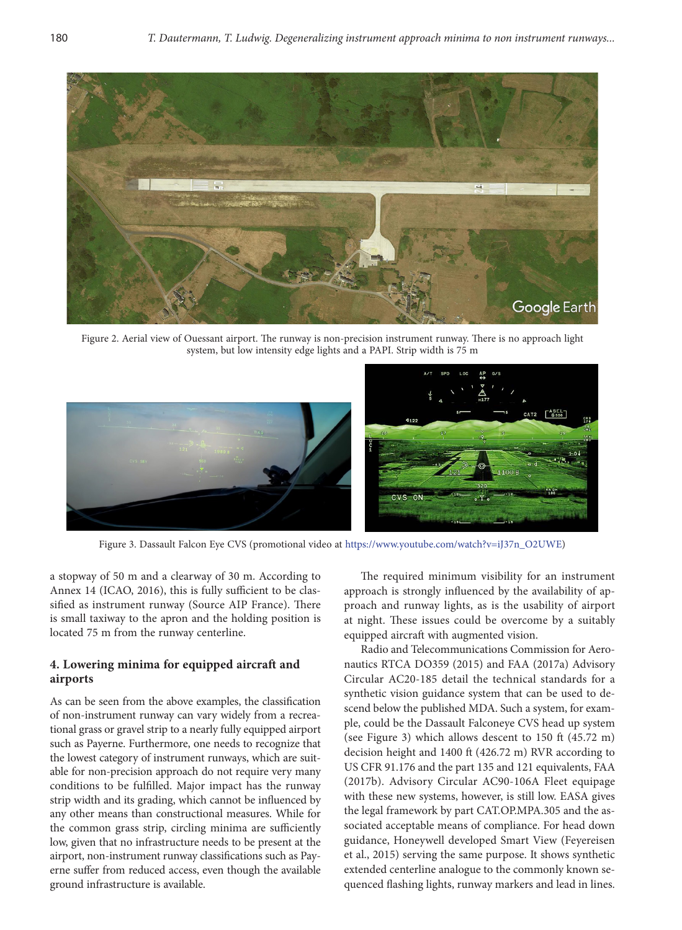

Figure 2. Aerial view of Ouessant airport. The runway is non-precision instrument runway. There is no approach light system, but low intensity edge lights and a PAPI. Strip width is 75 m



Figure 3. Dassault Falcon Eye CVS (promotional video at [https://www.youtube.com/watch?v=iJ37n\\_O2UWE](https://www.youtube.com/watch?v=iJ37n_O2UWE))

a stopway of 50 m and a clearway of 30 m. According to Annex 14 (ICAO, 2016), this is fully sufficient to be classified as instrument runway (Source AIP France). There is small taxiway to the apron and the holding position is located 75 m from the runway centerline.

# **4. Lowering minima for equipped aircraft and airports**

As can be seen from the above examples, the classification of non-instrument runway can vary widely from a recreational grass or gravel strip to a nearly fully equipped airport such as Payerne. Furthermore, one needs to recognize that the lowest category of instrument runways, which are suitable for non-precision approach do not require very many conditions to be fulfilled. Major impact has the runway strip width and its grading, which cannot be influenced by any other means than constructional measures. While for the common grass strip, circling minima are sufficiently low, given that no infrastructure needs to be present at the airport, non-instrument runway classifications such as Payerne suffer from reduced access, even though the available ground infrastructure is available.

The required minimum visibility for an instrument approach is strongly influenced by the availability of approach and runway lights, as is the usability of airport at night. These issues could be overcome by a suitably equipped aircraft with augmented vision.

Radio and Telecommunications Commission for Aeronautics RTCA DO359 (2015) and FAA (2017a) Advisory Circular AC20-185 detail the technical standards for a synthetic vision guidance system that can be used to descend below the published MDA. Such a system, for example, could be the Dassault Falconeye CVS head up system (see Figure 3) which allows descent to 150 ft (45.72 m) decision height and 1400 ft (426.72 m) RVR according to US CFR 91.176 and the part 135 and 121 equivalents, FAA (2017b). Advisory Circular AC90-106A Fleet equipage with these new systems, however, is still low. EASA gives the legal framework by part CAT.OP.MPA.305 and the associated acceptable means of compliance. For head down guidance, Honeywell developed Smart View (Feyereisen et al., 2015) serving the same purpose. It shows synthetic extended centerline analogue to the commonly known sequenced flashing lights, runway markers and lead in lines.